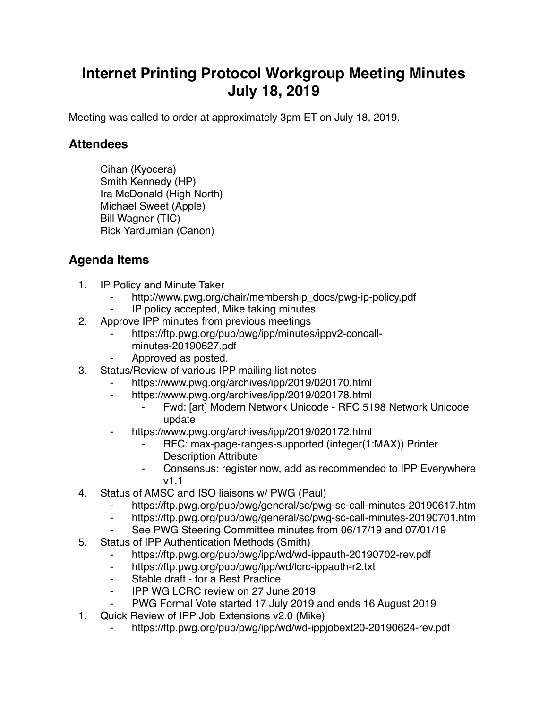## **Internet Printing Protocol Workgroup Meeting Minutes July 18, 2019**

Meeting was called to order at approximately 3pm ET on July 18, 2019.

## **Attendees**

Cihan (Kyocera) Smith Kennedy (HP) Ira McDonald (High North) Michael Sweet (Apple) Bill Wagner (TIC) Rick Yardumian (Canon)

## **Agenda Items**

- 1. IP Policy and Minute Taker
	- http://www.pwg.org/chair/membership\_docs/pwg-ip-policy.pdf
	- IP policy accepted, Mike taking minutes
- 2. Approve IPP minutes from previous meetings
	- https://ftp.pwg.org/pub/pwg/ipp/minutes/ippv2-concallminutes-20190627.pdf
	- Approved as posted.
- 3. Status/Review of various IPP mailing list notes
	- https://www.pwg.org/archives/ipp/2019/020170.html
	- ⁃ https://www.pwg.org/archives/ipp/2019/020178.html
		- ⁃ Fwd: [art] Modern Network Unicode RFC 5198 Network Unicode update
	- https://www.pwg.org/archives/ipp/2019/020172.html
		- ⁃ RFC: max-page-ranges-supported (integer(1:MAX)) Printer Description Attribute
		- ⁃ Consensus: register now, add as recommended to IPP Everywhere v1.1
- 4. Status of AMSC and ISO liaisons w/ PWG (Paul)
	- https://ftp.pwg.org/pub/pwg/general/sc/pwg-sc-call-minutes-20190617.htm
	- ⁃ https://ftp.pwg.org/pub/pwg/general/sc/pwg-sc-call-minutes-20190701.htm
	- See PWG Steering Committee minutes from 06/17/19 and 07/01/19
- 5. Status of IPP Authentication Methods (Smith)
	- https://ftp.pwg.org/pub/pwg/ipp/wd/wd-ippauth-20190702-rev.pdf
	- ⁃ https://ftp.pwg.org/pub/pwg/ipp/wd/lcrc-ippauth-r2.txt
	- ⁃ Stable draft for a Best Practice
	- ⁃ IPP WG LCRC review on 27 June 2019
	- PWG Formal Vote started 17 July 2019 and ends 16 August 2019
- 1. Quick Review of IPP Job Extensions v2.0 (Mike)
	- https://ftp.pwg.org/pub/pwg/ipp/wd/wd-ippjobext20-20190624-rev.pdf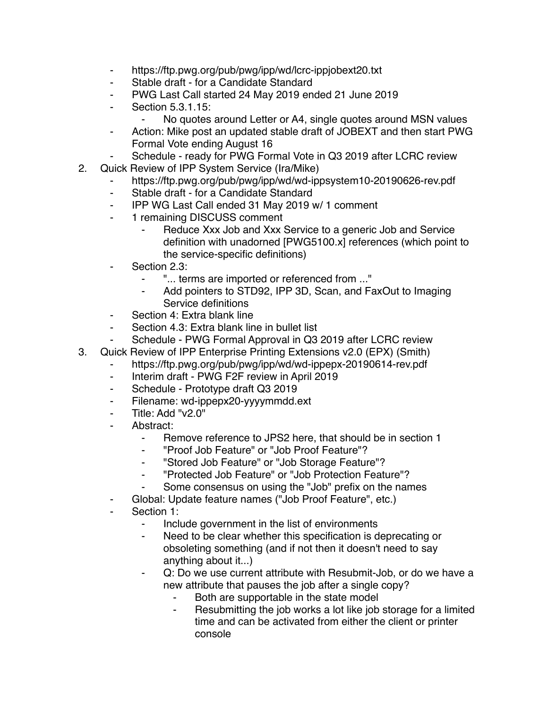- ⁃ https://ftp.pwg.org/pub/pwg/ipp/wd/lcrc-ippjobext20.txt
- ⁃ Stable draft for a Candidate Standard
- PWG Last Call started 24 May 2019 ended 21 June 2019
- ⁃ Section 5.3.1.15:
	- No quotes around Letter or A4, single quotes around MSN values
- Action: Mike post an updated stable draft of JOBEXT and then start PWG Formal Vote ending August 16
- Schedule ready for PWG Formal Vote in Q3 2019 after LCRC review
- 2. Quick Review of IPP System Service (Ira/Mike)
	- https://ftp.pwg.org/pub/pwg/ipp/wd/wd-ippsystem10-20190626-rev.pdf
	- ⁃ Stable draft for a Candidate Standard
	- ⁃ IPP WG Last Call ended 31 May 2019 w/ 1 comment
	- ⁃ 1 remaining DISCUSS comment
		- Reduce Xxx Job and Xxx Service to a generic Job and Service definition with unadorned [PWG5100.x] references (which point to the service-specific definitions)
	- Section 2.3:
		- ⁃ "... terms are imported or referenced from ..."
		- Add pointers to STD92, IPP 3D, Scan, and FaxOut to Imaging Service definitions
	- Section 4: Extra blank line
	- ⁃ Section 4.3: Extra blank line in bullet list
	- Schedule PWG Formal Approval in Q3 2019 after LCRC review
- 3. Quick Review of IPP Enterprise Printing Extensions v2.0 (EPX) (Smith)
	- https://ftp.pwg.org/pub/pwg/ipp/wd/wd-ippepx-20190614-rev.pdf
		- ⁃ Interim draft PWG F2F review in April 2019
		- ⁃ Schedule Prototype draft Q3 2019
	- Filename: wd-ippepx20-yyyymmdd.ext
	- Title: Add "v2.0"
	- Abstract:
		- ⁃ Remove reference to JPS2 here, that should be in section 1
		- ⁃ "Proof Job Feature" or "Job Proof Feature"?
		- ⁃ "Stored Job Feature" or "Job Storage Feature"?
		- ⁃ "Protected Job Feature" or "Job Protection Feature"?
		- Some consensus on using the "Job" prefix on the names
	- Global: Update feature names ("Job Proof Feature", etc.)
	- Section 1:
		- ⁃ Include government in the list of environments
		- Need to be clear whether this specification is deprecating or obsoleting something (and if not then it doesn't need to say anything about it...)
		- Q: Do we use current attribute with Resubmit-Job, or do we have a new attribute that pauses the job after a single copy?
			- Both are supportable in the state model
			- ⁃ Resubmitting the job works a lot like job storage for a limited time and can be activated from either the client or printer console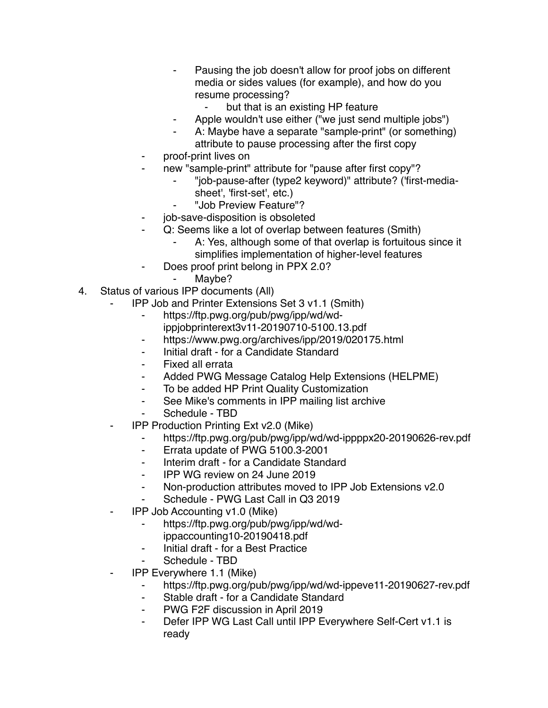- ⁃ Pausing the job doesn't allow for proof jobs on different media or sides values (for example), and how do you resume processing?
	- but that is an existing HP feature
- ⁃ Apple wouldn't use either ("we just send multiple jobs")
- A: Maybe have a separate "sample-print" (or something) attribute to pause processing after the first copy
- ⁃ proof-print lives on
- new "sample-print" attribute for "pause after first copy"?
	- ⁃ "job-pause-after (type2 keyword)" attribute? ('first-mediasheet', 'first-set', etc.)
		- ⁃ "Job Preview Feature"?
- job-save-disposition is obsoleted
- ⁃ Q: Seems like a lot of overlap between features (Smith)
	- A: Yes, although some of that overlap is fortuitous since it simplifies implementation of higher-level features
	- Does proof print belong in PPX 2.0?
		- Maybe?
- 4. Status of various IPP documents (All)
	- ⁃ IPP Job and Printer Extensions Set 3 v1.1 (Smith)
		- ⁃ https://ftp.pwg.org/pub/pwg/ipp/wd/wdippjobprinterext3v11-20190710-5100.13.pdf
		- https://www.pwg.org/archives/ipp/2019/020175.html
		- ⁃ Initial draft for a Candidate Standard
		- ⁃ Fixed all errata
		- Added PWG Message Catalog Help Extensions (HELPME)
		- ⁃ To be added HP Print Quality Customization
		- ⁃ See Mike's comments in IPP mailing list archive
		- Schedule TBD
	- **IPP Production Printing Ext v2.0 (Mike)** 
		- ⁃ https://ftp.pwg.org/pub/pwg/ipp/wd/wd-ippppx20-20190626-rev.pdf
		- ⁃ Errata update of PWG 5100.3-2001
		- ⁃ Interim draft for a Candidate Standard
		- ⁃ IPP WG review on 24 June 2019
		- ⁃ Non-production attributes moved to IPP Job Extensions v2.0
		- Schedule PWG Last Call in Q3 2019
	- ⁃ IPP Job Accounting v1.0 (Mike)
		- ⁃ https://ftp.pwg.org/pub/pwg/ipp/wd/wdippaccounting10-20190418.pdf
		- ⁃ Initial draft for a Best Practice
		- Schedule TBD
	- ⁃ IPP Everywhere 1.1 (Mike)
		- https://ftp.pwg.org/pub/pwg/ipp/wd/wd-ippeve11-20190627-rev.pdf
		- ⁃ Stable draft for a Candidate Standard
		- ⁃ PWG F2F discussion in April 2019
		- Defer IPP WG Last Call until IPP Everywhere Self-Cert v1.1 is ready